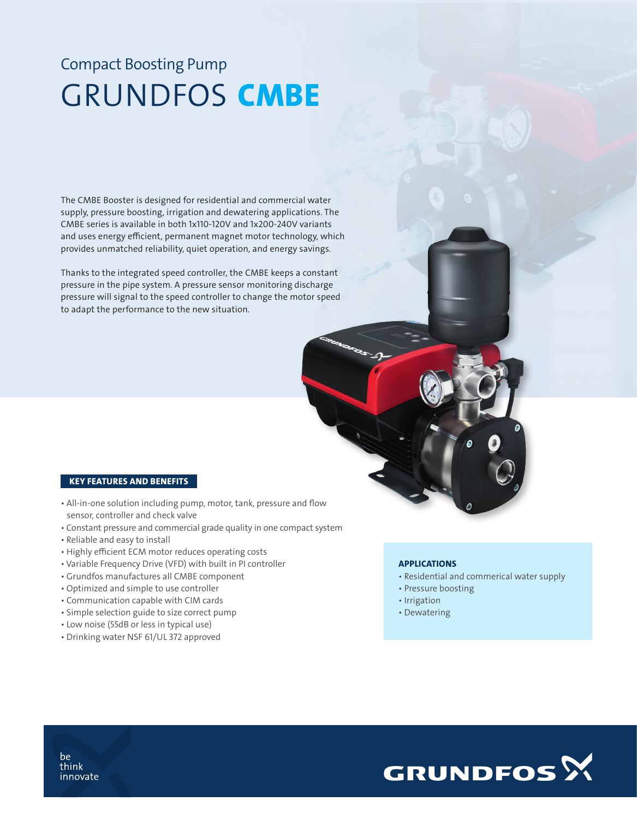## Compact Boosting Pump GRUNDFOS CMBE

The CMBE Booster is designed for residential and commercial water supply, pressure boosting, irrigation and dewatering applications. The CMBE series is available in both 1x110-120V and 1x200-240V variants and uses energy efficient, permanent magnet motor technology, which provides unmatched reliability, quiet operation, and energy savings.

Thanks to the integrated speed controller, the CMBE keeps a constant pressure in the pipe system. A pressure sensor monitoring discharge pressure will signal to the speed controller to change the motor speed to adapt the performance to the new situation.

## KEY FEATURES AND BENEFITS

- All-in-one solution including pump, motor, tank, pressure and flow sensor, controller and check valve
- Constant pressure and commercial grade quality in one compact system
- Reliable and easy to install
- Highly efficient ECM motor reduces operating costs
- Variable Frequency Drive (VFD) with built in PI controller
- Grundfos manufactures all CMBE component
- Optimized and simple to use controller
- Communication capable with CIM cards
- Simple selection guide to size correct pump
- Low noise (55dB or less in typical use)
- Drinking water NSF 61/UL 372 approved

## **APPLICATIONS**

- Residential and commerical water supply
- Pressure boosting
- Irrigation
- Dewatering



be think innovate